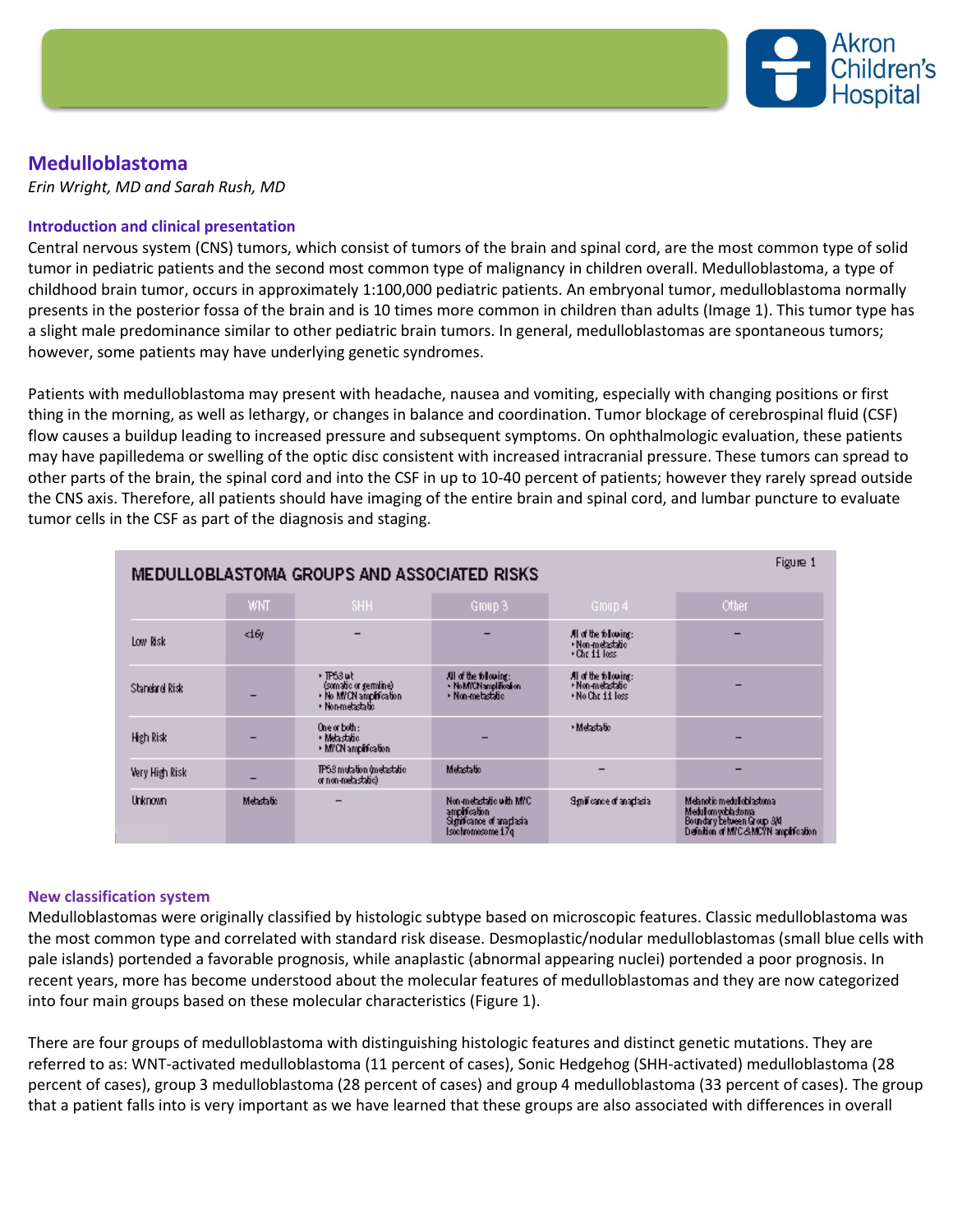

# **Medulloblastoma**

*Erin Wright, MD and Sarah Rush, MD*

## **Introduction and clinical presentation**

Central nervous system (CNS) tumors, which consist of tumors of the brain and spinal cord, are the most common type of solid tumor in pediatric patients and the second most common type of malignancy in children overall. Medulloblastoma, a type of childhood brain tumor, occurs in approximately 1:100,000 pediatric patients. An embryonal tumor, medulloblastoma normally presents in the posterior fossa of the brain and is 10 times more common in children than adults (Image 1). This tumor type has a slight male predominance similar to other pediatric brain tumors. In general, medulloblastomas are spontaneous tumors; however, some patients may have underlying genetic syndromes.

Patients with medulloblastoma may present with headache, nausea and vomiting, especially with changing positions or first thing in the morning, as well as lethargy, or changes in balance and coordination. Tumor blockage of cerebrospinal fluid (CSF) flow causes a buildup leading to increased pressure and subsequent symptoms. On ophthalmologic evaluation, these patients may have papilledema or swelling of the optic disc consistent with increased intracranial pressure. These tumors can spread to other parts of the brain, the spinal cord and into the CSF in up to 10-40 percent of patients; however they rarely spread outside the CNS axis. Therefore, all patients should have imaging of the entire brain and spinal cord, and lumbar puncture to evaluate tumor cells in the CSF as part of the diagnosis and staging.

| Figure 1<br>MEDULLOBLASTOMA GROUPS AND ASSOCIATED RISKS |            |                                                                                |                                                                                              |                                                               |                                                                                                                         |
|---------------------------------------------------------|------------|--------------------------------------------------------------------------------|----------------------------------------------------------------------------------------------|---------------------------------------------------------------|-------------------------------------------------------------------------------------------------------------------------|
|                                                         | <b>WNT</b> | SHH                                                                            | Group 3                                                                                      | Group 4                                                       | Other                                                                                                                   |
| Low Nisk                                                | <16y       |                                                                                |                                                                                              | All of the following:<br>· Non-metastatic<br>*Chr 11 loss     |                                                                                                                         |
| Standard Risk                                           |            | +TP53ut<br>(somatic or germine)<br>• No MYCN amplification<br>* Non-metastatic | All of the following:<br>· NoMICN and Final on<br>* Non-metastatic                           | All of the following:<br>• Non-metastatic<br>* No Chr 11 loss |                                                                                                                         |
| High Risk                                               |            | One or both :<br>* Metastatio<br>* MYCN ampification                           |                                                                                              | * Metastatic                                                  |                                                                                                                         |
| Very High Risk                                          | -          | TP53 mutation (metastatic)<br>or non-metastatic).                              | Metastatic                                                                                   |                                                               |                                                                                                                         |
| Unknown.                                                | Metastatic |                                                                                | Non-metastatic with MYC.<br>amplification.<br>Significance of anaphasia<br>Isochromosome 17q | Synificance of anaplasial                                     | Melanotic medulloblastoma<br>Medullomyoblastoma<br>Boundary between Group 3/4<br>Definition of MIC-SMCIN amplification. |

### **New classification system**

Medulloblastomas were originally classified by histologic subtype based on microscopic features. Classic medulloblastoma was the most common type and correlated with standard risk disease. Desmoplastic/nodular medulloblastomas (small blue cells with pale islands) portended a favorable prognosis, while anaplastic (abnormal appearing nuclei) portended a poor prognosis. In recent years, more has become understood about the molecular features of medulloblastomas and they are now categorized into four main groups based on these molecular characteristics (Figure 1).

There are four groups of medulloblastoma with distinguishing histologic features and distinct genetic mutations. They are referred to as: WNT-activated medulloblastoma (11 percent of cases), Sonic Hedgehog (SHH-activated) medulloblastoma (28 percent of cases), group 3 medulloblastoma (28 percent of cases) and group 4 medulloblastoma (33 percent of cases). The group that a patient falls into is very important as we have learned that these groups are also associated with differences in overall